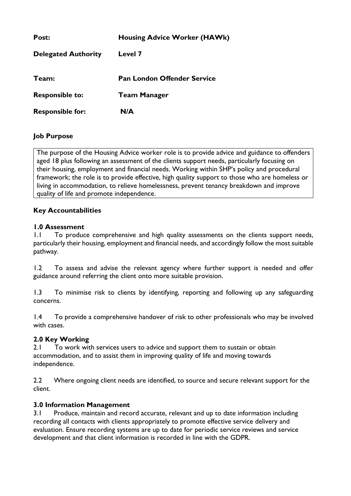| Post:                      | <b>Housing Advice Worker (HAWk)</b> |
|----------------------------|-------------------------------------|
| <b>Delegated Authority</b> | Level 7                             |
| Team:                      | <b>Pan London Offender Service</b>  |
| <b>Responsible to:</b>     | <b>Team Manager</b>                 |
| <b>Responsible for:</b>    | N/A                                 |

# **Job Purpose**

The purpose of the Housing Advice worker role is to provide advice and guidance to offenders aged 18 plus following an assessment of the clients support needs, particularly focusing on their housing, employment and financial needs. Working within SHP's policy and procedural framework; the role is to provide effective, high quality support to those who are homeless or living in accommodation, to relieve homelessness, prevent tenancy breakdown and improve quality of life and promote independence.

# **Key Accountabilities**

## **1.0 Assessment**

1.1 To produce comprehensive and high quality assessments on the clients support needs, particularly their housing, employment and financial needs, and accordingly follow the most suitable pathway.

1.2 To assess and advise the relevant agency where further support is needed and offer guidance around referring the client onto more suitable provision.

1.3 To minimise risk to clients by identifying, reporting and following up any safeguarding concerns.

1.4 To provide a comprehensive handover of risk to other professionals who may be involved with cases.

## **2.0 Key Working**

2.1 To work with services users to advice and support them to sustain or obtain accommodation, and to assist them in improving quality of life and moving towards independence.

2.2 Where ongoing client needs are identified, to source and secure relevant support for the client.

## **3.0 Information Management**

3.1 Produce, maintain and record accurate, relevant and up to date information including recording all contacts with clients appropriately to promote effective service delivery and evaluation. Ensure recording systems are up to date for periodic service reviews and service development and that client information is recorded in line with the GDPR.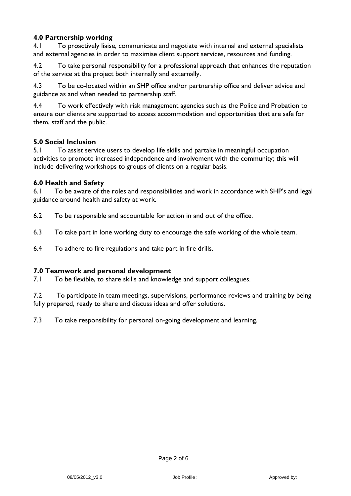# **4.0 Partnership working**

4.1 To proactively liaise, communicate and negotiate with internal and external specialists and external agencies in order to maximise client support services, resources and funding.

4.2 To take personal responsibility for a professional approach that enhances the reputation of the service at the project both internally and externally.

4.3 To be co-located within an SHP office and/or partnership office and deliver advice and guidance as and when needed to partnership staff.

4.4 To work effectively with risk management agencies such as the Police and Probation to ensure our clients are supported to access accommodation and opportunities that are safe for them, staff and the public.

#### **5.0 Social Inclusion**

5.1 To assist service users to develop life skills and partake in meaningful occupation activities to promote increased independence and involvement with the community; this will include delivering workshops to groups of clients on a regular basis.

#### **6.0 Health and Safety**

6.1 To be aware of the roles and responsibilities and work in accordance with SHP's and legal guidance around health and safety at work.

- 6.2 To be responsible and accountable for action in and out of the office.
- 6.3 To take part in lone working duty to encourage the safe working of the whole team.
- 6.4 To adhere to fire regulations and take part in fire drills.

#### **7.0 Teamwork and personal development**

7.1 To be flexible, to share skills and knowledge and support colleagues.

7.2 To participate in team meetings, supervisions, performance reviews and training by being fully prepared, ready to share and discuss ideas and offer solutions.

7.3 To take responsibility for personal on-going development and learning.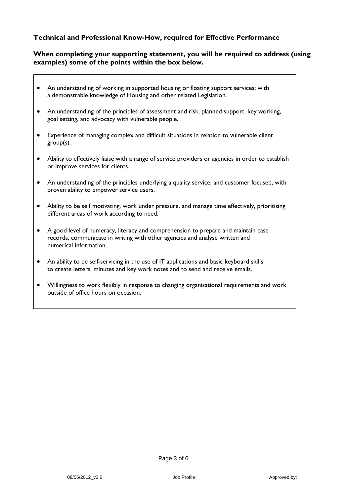#### **Technical and Professional Know-How, required for Effective Performance**

#### **When completing your supporting statement, you will be required to address (using examples) some of the points within the box below.**

- An understanding of working in supported housing or floating support services; with a demonstrable knowledge of Housing and other related Legislation.
- An understanding of the principles of assessment and risk, planned support, key working, goal setting, and advocacy with vulnerable people.
- Experience of managing complex and difficult situations in relation to vulnerable client group(s).
- Ability to effectively liaise with a range of service providers or agencies in order to establish or improve services for clients.
- An understanding of the principles underlying a quality service, and customer focused, with proven ability to empower service users.
- Ability to be self motivating, work under pressure, and manage time effectively, prioritising different areas of work according to need.
- A good level of numeracy, literacy and comprehension to prepare and maintain case records, communicate in writing with other agencies and analyse written and numerical information.
- An ability to be self-servicing in the use of IT applications and basic keyboard skills to create letters, minutes and key work notes and to send and receive emails.
- Willingness to work flexibly in response to changing organisational requirements and work outside of office hours on occasion.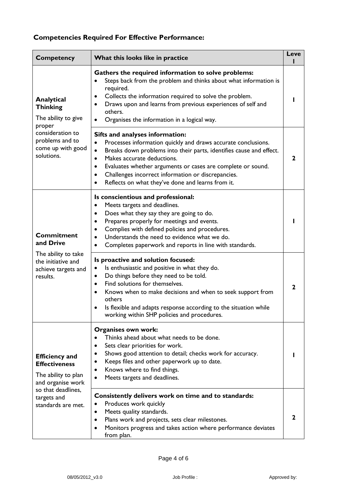# **Competencies Required For Effective Performance:**

| <b>Competency</b>                                                                                                                                    | What this looks like in practice                                                                                                                                                                                                                                                                                                                                                                          | Leve         |
|------------------------------------------------------------------------------------------------------------------------------------------------------|-----------------------------------------------------------------------------------------------------------------------------------------------------------------------------------------------------------------------------------------------------------------------------------------------------------------------------------------------------------------------------------------------------------|--------------|
| <b>Analytical</b><br><b>Thinking</b><br>The ability to give<br>proper<br>consideration to<br>problems and to<br>come up with good<br>solutions.      | Gathers the required information to solve problems:<br>Steps back from the problem and thinks about what information is<br>required.<br>Collects the information required to solve the problem.<br>٠<br>Draws upon and learns from previous experiences of self and<br>others.<br>Organises the information in a logical way.                                                                             |              |
|                                                                                                                                                      | Sifts and analyses information:<br>Processes information quickly and draws accurate conclusions.<br>Breaks down problems into their parts, identifies cause and effect.<br>$\bullet$<br>Makes accurate deductions.<br>$\bullet$<br>Evaluates whether arguments or cases are complete or sound.<br>Challenges incorrect information or discrepancies.<br>Reflects on what they've done and learns from it. | 2            |
| <b>Commitment</b><br>and Drive<br>The ability to take<br>the initiative and<br>achieve targets and<br>results.                                       | Is conscientious and professional:<br>Meets targets and deadlines.<br>Does what they say they are going to do.<br>Prepares properly for meetings and events.<br>Complies with defined policies and procedures.<br>Understands the need to evidence what we do.<br>Completes paperwork and reports in line with standards.                                                                                 |              |
|                                                                                                                                                      | Is proactive and solution focused:<br>Is enthusiastic and positive in what they do.<br>Do things before they need to be told.<br>$\bullet$<br>Find solutions for themselves.<br>$\bullet$<br>Knows when to make decisions and when to seek support from<br>$\bullet$<br>others<br>Is flexible and adapts response according to the situation while<br>working within SHP policies and procedures.         | $\mathbf{2}$ |
| <b>Efficiency and</b><br><b>Effectiveness</b><br>The ability to plan<br>and organise work<br>so that deadlines,<br>targets and<br>standards are met. | Organises own work:<br>Thinks ahead about what needs to be done.<br>Sets clear priorities for work.<br>$\bullet$<br>Shows good attention to detail; checks work for accuracy.<br>Keeps files and other paperwork up to date.<br>Knows where to find things.<br>Meets targets and deadlines.                                                                                                               |              |
|                                                                                                                                                      | Consistently delivers work on time and to standards:<br>Produces work quickly<br>Meets quality standards.<br>٠<br>Plans work and projects, sets clear milestones.<br>Monitors progress and takes action where performance deviates<br>from plan.                                                                                                                                                          | 2            |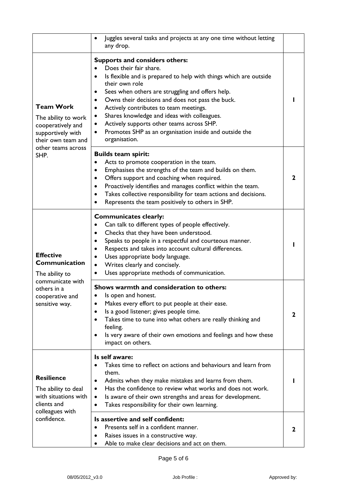|                                                                                                                                       | Juggles several tasks and projects at any one time without letting<br>٠<br>any drop.                                                                                                                                                                                                                                                                                                                                                                                                                             |   |
|---------------------------------------------------------------------------------------------------------------------------------------|------------------------------------------------------------------------------------------------------------------------------------------------------------------------------------------------------------------------------------------------------------------------------------------------------------------------------------------------------------------------------------------------------------------------------------------------------------------------------------------------------------------|---|
| <b>Team Work</b><br>The ability to work<br>cooperatively and<br>supportively with<br>their own team and<br>other teams across<br>SHP. | <b>Supports and considers others:</b><br>Does their fair share.<br>Is flexible and is prepared to help with things which are outside<br>$\bullet$<br>their own role<br>Sees when others are struggling and offers help.<br>Owns their decisions and does not pass the buck.<br>٠<br>Actively contributes to team meetings.<br>٠<br>Shares knowledge and ideas with colleagues.<br>٠<br>Actively supports other teams across SHP.<br>٠<br>Promotes SHP as an organisation inside and outside the<br>organisation. |   |
|                                                                                                                                       | <b>Builds team spirit:</b><br>Acts to promote cooperation in the team.<br>$\bullet$<br>Emphasises the strengths of the team and builds on them.<br>$\bullet$<br>Offers support and coaching when required.<br>$\bullet$<br>Proactively identifies and manages conflict within the team.<br>$\bullet$<br>Takes collective responsibility for team actions and decisions.<br>$\bullet$<br>Represents the team positively to others in SHP.                                                                         | 2 |
| <b>Effective</b><br>Communication<br>The ability to<br>communicate with<br>others in a<br>cooperative and<br>sensitive way.           | <b>Communicates clearly:</b><br>Can talk to different types of people effectively.<br>Checks that they have been understood.<br>$\bullet$<br>Speaks to people in a respectful and courteous manner.<br>$\bullet$<br>Respects and takes into account cultural differences.<br>Uses appropriate body language.<br>Writes clearly and concisely.<br>$\bullet$<br>Uses appropriate methods of communication.                                                                                                         |   |
|                                                                                                                                       | Shows warmth and consideration to others:<br>Is open and honest.<br>Makes every effort to put people at their ease.<br>Is a good listener; gives people time.<br>$\bullet$<br>Takes time to tune into what others are really thinking and<br>$\bullet$<br>feeling.<br>Is very aware of their own emotions and feelings and how these<br>$\bullet$<br>impact on others.                                                                                                                                           | 2 |
| <b>Resilience</b><br>The ability to deal<br>with situations with<br>clients and<br>colleagues with<br>confidence.                     | Is self aware:<br>Takes time to reflect on actions and behaviours and learn from<br>them.<br>Admits when they make mistakes and learns from them.<br>$\bullet$<br>Has the confidence to review what works and does not work.<br>$\bullet$<br>Is aware of their own strengths and areas for development.<br>$\bullet$<br>Takes responsibility for their own learning.                                                                                                                                             |   |
|                                                                                                                                       | Is assertive and self confident:<br>Presents self in a confident manner.<br>$\bullet$<br>Raises issues in a constructive way.<br>Able to make clear decisions and act on them.                                                                                                                                                                                                                                                                                                                                   | 2 |